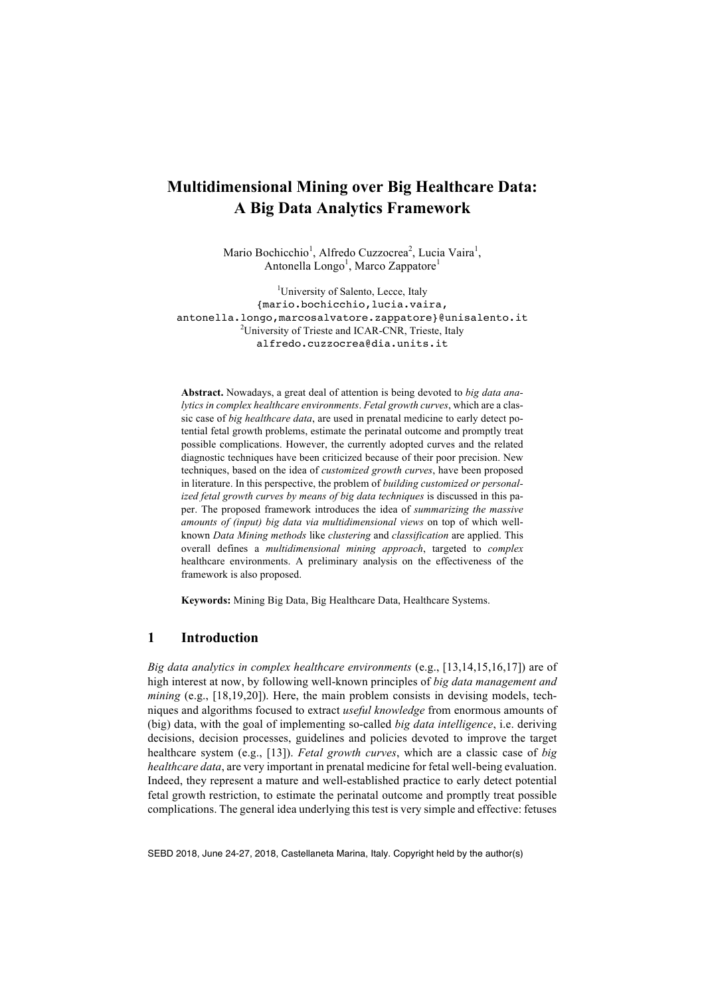# **Multidimensional Mining over Big Healthcare Data: A Big Data Analytics Framework**

Mario Bochicchio<sup>1</sup>, Alfredo Cuzzocrea<sup>2</sup>, Lucia Vaira<sup>1</sup>, Antonella Longo<sup>1</sup>, Marco Zappatore<sup>1</sup>

<sup>1</sup>University of Salento, Lecce, Italy {mario.bochicchio,lucia.vaira, antonella.longo,marcosalvatore.zappatore}@unisalento.it <sup>2</sup>University of Trieste and ICAR-CNR, Trieste, Italy alfredo.cuzzocrea@dia.units.it

**Abstract.** Nowadays, a great deal of attention is being devoted to *big data analytics in complex healthcare environments*. *Fetal growth curves*, which are a classic case of *big healthcare data*, are used in prenatal medicine to early detect potential fetal growth problems, estimate the perinatal outcome and promptly treat possible complications. However, the currently adopted curves and the related diagnostic techniques have been criticized because of their poor precision. New techniques, based on the idea of *customized growth curves*, have been proposed in literature. In this perspective, the problem of *building customized or personalized fetal growth curves by means of big data techniques* is discussed in this paper. The proposed framework introduces the idea of *summarizing the massive amounts of (input) big data via multidimensional views* on top of which wellknown *Data Mining methods* like *clustering* and *classification* are applied. This overall defines a *multidimensional mining approach*, targeted to *complex* healthcare environments. A preliminary analysis on the effectiveness of the framework is also proposed.

**Keywords:** Mining Big Data, Big Healthcare Data, Healthcare Systems.

#### **1 Introduction**

*Big data analytics in complex healthcare environments* (e.g., [13,14,15,16,17]) are of high interest at now, by following well-known principles of *big data management and mining* (e.g., [18,19,20]). Here, the main problem consists in devising models, techniques and algorithms focused to extract *useful knowledge* from enormous amounts of (big) data, with the goal of implementing so-called *big data intelligence*, i.e. deriving decisions, decision processes, guidelines and policies devoted to improve the target healthcare system (e.g., [13]). *Fetal growth curves*, which are a classic case of *big healthcare data*, are very important in prenatal medicine for fetal well-being evaluation. Indeed, they represent a mature and well-established practice to early detect potential fetal growth restriction, to estimate the perinatal outcome and promptly treat possible complications. The general idea underlying this test is very simple and effective: fetuses

SEBD 2018, June 24-27, 2018, Castellaneta Marina, Italy. Copyright held by the author(s)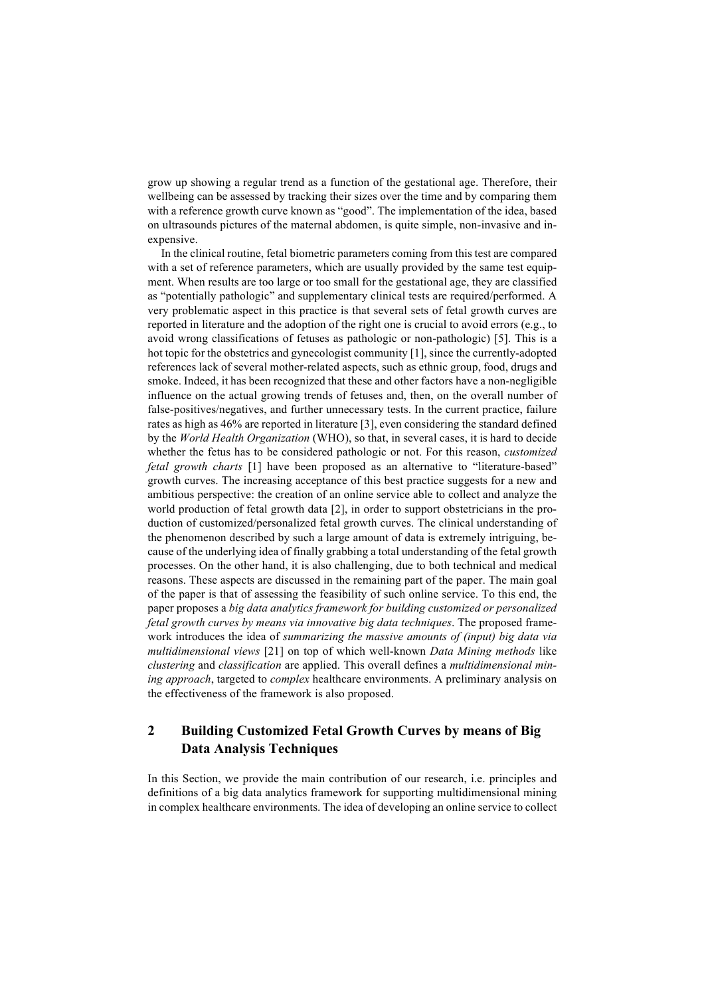grow up showing a regular trend as a function of the gestational age. Therefore, their wellbeing can be assessed by tracking their sizes over the time and by comparing them with a reference growth curve known as "good". The implementation of the idea, based on ultrasounds pictures of the maternal abdomen, is quite simple, non-invasive and inexpensive.

In the clinical routine, fetal biometric parameters coming from this test are compared with a set of reference parameters, which are usually provided by the same test equipment. When results are too large or too small for the gestational age, they are classified as "potentially pathologic" and supplementary clinical tests are required/performed. A very problematic aspect in this practice is that several sets of fetal growth curves are reported in literature and the adoption of the right one is crucial to avoid errors (e.g., to avoid wrong classifications of fetuses as pathologic or non-pathologic) [5]. This is a hot topic for the obstetrics and gynecologist community [1], since the currently-adopted references lack of several mother-related aspects, such as ethnic group, food, drugs and smoke. Indeed, it has been recognized that these and other factors have a non-negligible influence on the actual growing trends of fetuses and, then, on the overall number of false-positives/negatives, and further unnecessary tests. In the current practice, failure rates as high as 46% are reported in literature [3], even considering the standard defined by the *World Health Organization* (WHO), so that, in several cases, it is hard to decide whether the fetus has to be considered pathologic or not. For this reason, *customized fetal growth charts* [1] have been proposed as an alternative to "literature-based" growth curves. The increasing acceptance of this best practice suggests for a new and ambitious perspective: the creation of an online service able to collect and analyze the world production of fetal growth data [2], in order to support obstetricians in the production of customized/personalized fetal growth curves. The clinical understanding of the phenomenon described by such a large amount of data is extremely intriguing, because of the underlying idea of finally grabbing a total understanding of the fetal growth processes. On the other hand, it is also challenging, due to both technical and medical reasons. These aspects are discussed in the remaining part of the paper. The main goal of the paper is that of assessing the feasibility of such online service. To this end, the paper proposes a *big data analytics framework for building customized or personalized fetal growth curves by means via innovative big data techniques*. The proposed framework introduces the idea of *summarizing the massive amounts of (input) big data via multidimensional views* [21] on top of which well-known *Data Mining methods* like *clustering* and *classification* are applied. This overall defines a *multidimensional mining approach*, targeted to *complex* healthcare environments. A preliminary analysis on the effectiveness of the framework is also proposed.

## **2 Building Customized Fetal Growth Curves by means of Big Data Analysis Techniques**

In this Section, we provide the main contribution of our research, i.e. principles and definitions of a big data analytics framework for supporting multidimensional mining in complex healthcare environments. The idea of developing an online service to collect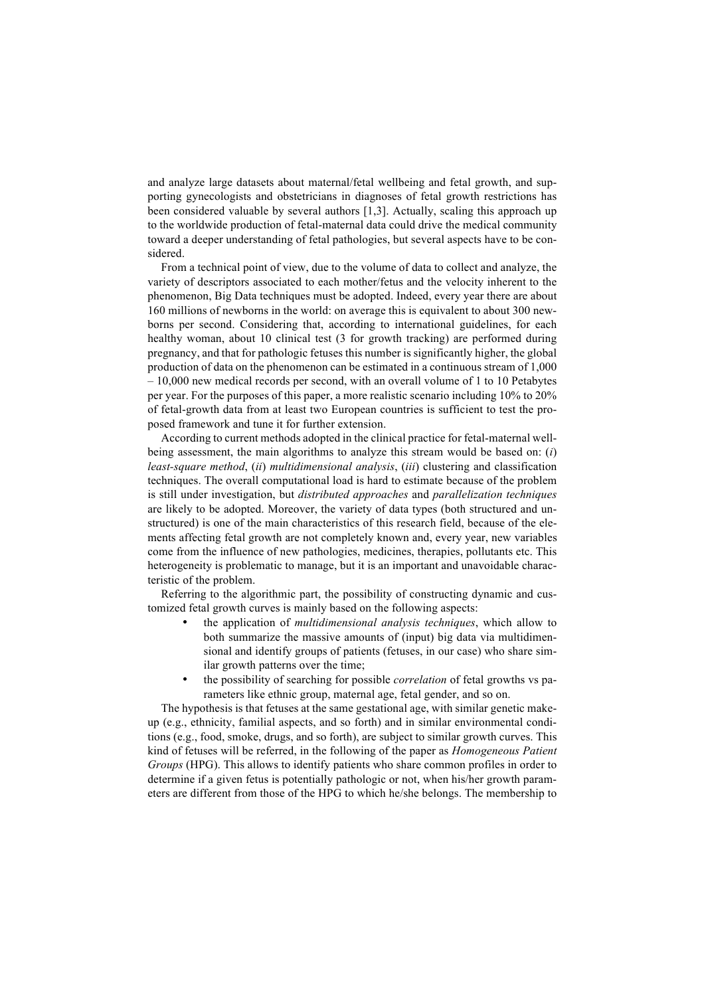and analyze large datasets about maternal/fetal wellbeing and fetal growth, and supporting gynecologists and obstetricians in diagnoses of fetal growth restrictions has been considered valuable by several authors [1,3]. Actually, scaling this approach up to the worldwide production of fetal-maternal data could drive the medical community toward a deeper understanding of fetal pathologies, but several aspects have to be considered.

From a technical point of view, due to the volume of data to collect and analyze, the variety of descriptors associated to each mother/fetus and the velocity inherent to the phenomenon, Big Data techniques must be adopted. Indeed, every year there are about 160 millions of newborns in the world: on average this is equivalent to about 300 newborns per second. Considering that, according to international guidelines, for each healthy woman, about 10 clinical test (3 for growth tracking) are performed during pregnancy, and that for pathologic fetuses this number is significantly higher, the global production of data on the phenomenon can be estimated in a continuous stream of 1,000 – 10,000 new medical records per second, with an overall volume of 1 to 10 Petabytes per year. For the purposes of this paper, a more realistic scenario including 10% to 20% of fetal-growth data from at least two European countries is sufficient to test the proposed framework and tune it for further extension.

According to current methods adopted in the clinical practice for fetal-maternal wellbeing assessment, the main algorithms to analyze this stream would be based on: (*i*) *least-square method*, (*ii*) *multidimensional analysis*, (*iii*) clustering and classification techniques. The overall computational load is hard to estimate because of the problem is still under investigation, but *distributed approaches* and *parallelization techniques* are likely to be adopted. Moreover, the variety of data types (both structured and unstructured) is one of the main characteristics of this research field, because of the elements affecting fetal growth are not completely known and, every year, new variables come from the influence of new pathologies, medicines, therapies, pollutants etc. This heterogeneity is problematic to manage, but it is an important and unavoidable characteristic of the problem.

Referring to the algorithmic part, the possibility of constructing dynamic and customized fetal growth curves is mainly based on the following aspects:

- the application of *multidimensional analysis techniques*, which allow to both summarize the massive amounts of (input) big data via multidimensional and identify groups of patients (fetuses, in our case) who share similar growth patterns over the time;
- the possibility of searching for possible *correlation* of fetal growths vs parameters like ethnic group, maternal age, fetal gender, and so on.

The hypothesis is that fetuses at the same gestational age, with similar genetic makeup (e.g., ethnicity, familial aspects, and so forth) and in similar environmental conditions (e.g., food, smoke, drugs, and so forth), are subject to similar growth curves. This kind of fetuses will be referred, in the following of the paper as *Homogeneous Patient Groups* (HPG). This allows to identify patients who share common profiles in order to determine if a given fetus is potentially pathologic or not, when his/her growth parameters are different from those of the HPG to which he/she belongs. The membership to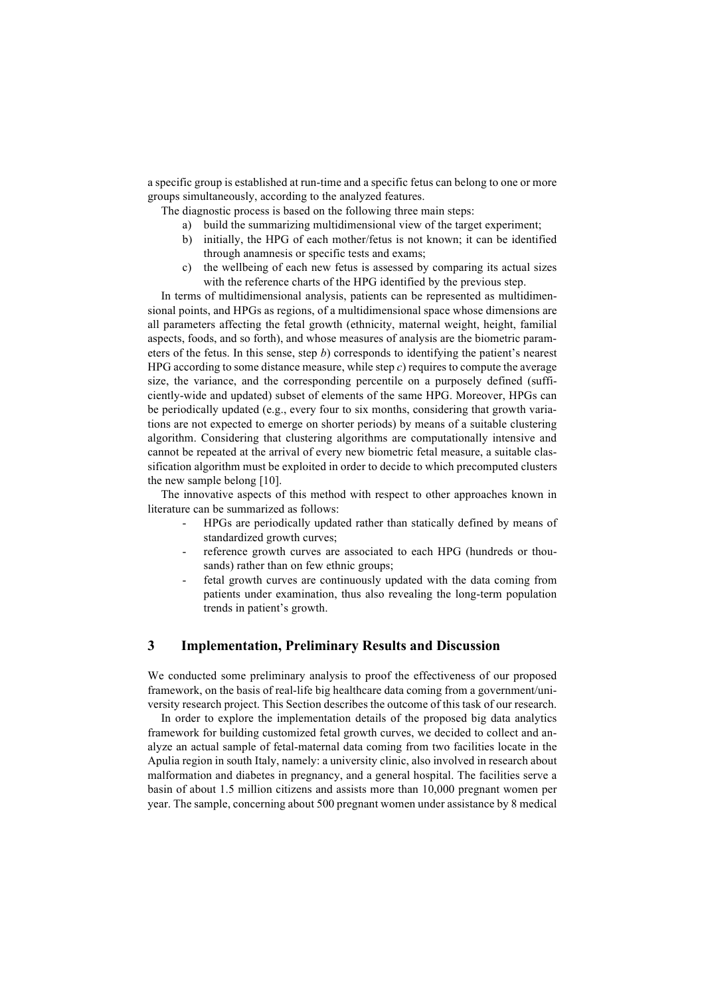a specific group is established at run-time and a specific fetus can belong to one or more groups simultaneously, according to the analyzed features.

The diagnostic process is based on the following three main steps:

- a) build the summarizing multidimensional view of the target experiment;
- b) initially, the HPG of each mother/fetus is not known; it can be identified through anamnesis or specific tests and exams;
- c) the wellbeing of each new fetus is assessed by comparing its actual sizes with the reference charts of the HPG identified by the previous step.

In terms of multidimensional analysis, patients can be represented as multidimensional points, and HPGs as regions, of a multidimensional space whose dimensions are all parameters affecting the fetal growth (ethnicity, maternal weight, height, familial aspects, foods, and so forth), and whose measures of analysis are the biometric parameters of the fetus. In this sense, step *b*) corresponds to identifying the patient's nearest HPG according to some distance measure, while step *c*) requires to compute the average size, the variance, and the corresponding percentile on a purposely defined (sufficiently-wide and updated) subset of elements of the same HPG. Moreover, HPGs can be periodically updated (e.g., every four to six months, considering that growth variations are not expected to emerge on shorter periods) by means of a suitable clustering algorithm. Considering that clustering algorithms are computationally intensive and cannot be repeated at the arrival of every new biometric fetal measure, a suitable classification algorithm must be exploited in order to decide to which precomputed clusters the new sample belong [10].

The innovative aspects of this method with respect to other approaches known in literature can be summarized as follows:

- HPGs are periodically updated rather than statically defined by means of standardized growth curves;
- reference growth curves are associated to each HPG (hundreds or thousands) rather than on few ethnic groups;
- fetal growth curves are continuously updated with the data coming from patients under examination, thus also revealing the long-term population trends in patient's growth.

#### **3 Implementation, Preliminary Results and Discussion**

We conducted some preliminary analysis to proof the effectiveness of our proposed framework, on the basis of real-life big healthcare data coming from a government/university research project. This Section describes the outcome of this task of our research.

In order to explore the implementation details of the proposed big data analytics framework for building customized fetal growth curves, we decided to collect and analyze an actual sample of fetal-maternal data coming from two facilities locate in the Apulia region in south Italy, namely: a university clinic, also involved in research about malformation and diabetes in pregnancy, and a general hospital. The facilities serve a basin of about 1.5 million citizens and assists more than 10,000 pregnant women per year. The sample, concerning about 500 pregnant women under assistance by 8 medical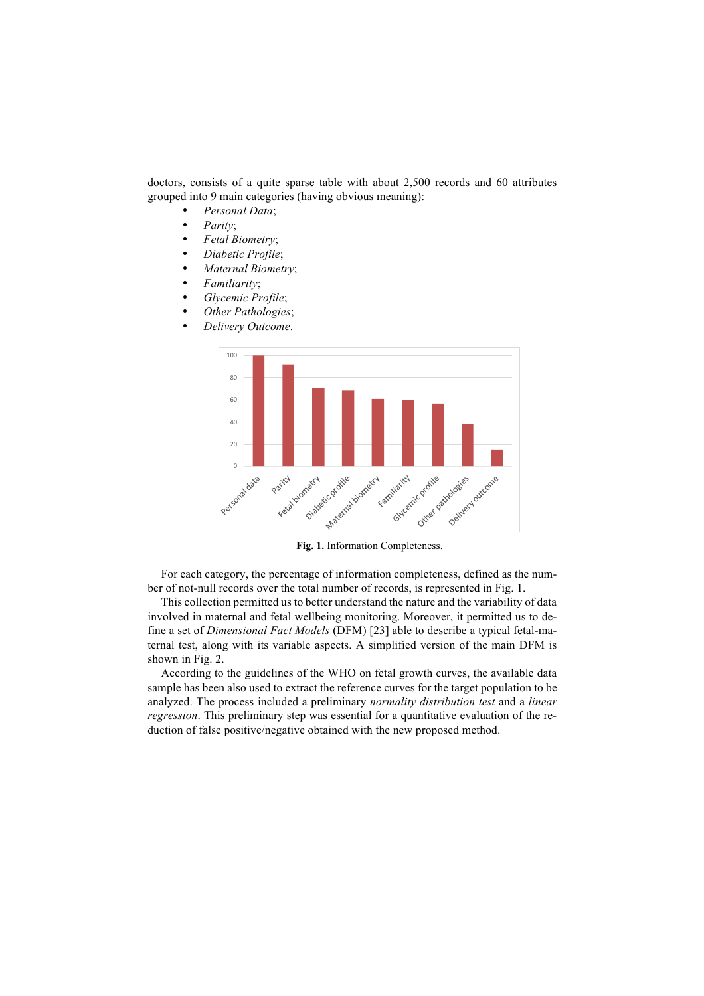doctors, consists of a quite sparse table with about 2,500 records and 60 attributes grouped into 9 main categories (having obvious meaning):

- *Personal Data*;
- *Parity*;
- *Fetal Biometry*;
- *Diabetic Profile*;
- *Maternal Biometry*;
- *Familiarity*;
- *Glycemic Profile*;
- *Other Pathologies*;
- *Delivery Outcome*.



**Fig. 1.** Information Completeness.

For each category, the percentage of information completeness, defined as the number of not-null records over the total number of records, is represented in Fig. 1.

This collection permitted us to better understand the nature and the variability of data involved in maternal and fetal wellbeing monitoring. Moreover, it permitted us to define a set of *Dimensional Fact Models* (DFM) [23] able to describe a typical fetal-maternal test, along with its variable aspects. A simplified version of the main DFM is shown in Fig. 2.

According to the guidelines of the WHO on fetal growth curves, the available data sample has been also used to extract the reference curves for the target population to be analyzed. The process included a preliminary *normality distribution test* and a *linear regression*. This preliminary step was essential for a quantitative evaluation of the reduction of false positive/negative obtained with the new proposed method.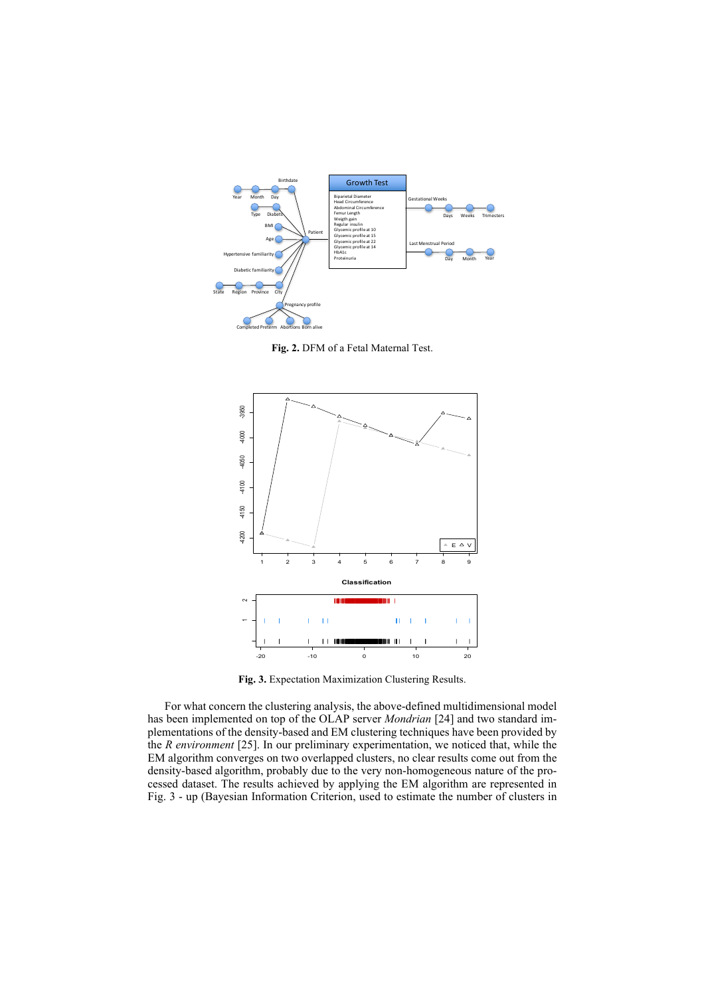

**Fig. 2.** DFM of a Fetal Maternal Test.



**Fig. 3.** Expectation Maximization Clustering Results.

For what concern the clustering analysis, the above-defined multidimensional model has been implemented on top of the OLAP server *Mondrian* [24] and two standard implementations of the density-based and EM clustering techniques have been provided by the *R environment* [25]. In our preliminary experimentation, we noticed that, while the EM algorithm converges on two overlapped clusters, no clear results come out from the density-based algorithm, probably due to the very non-homogeneous nature of the processed dataset. The results achieved by applying the EM algorithm are represented in Fig. 3 - up (Bayesian Information Criterion, used to estimate the number of clusters in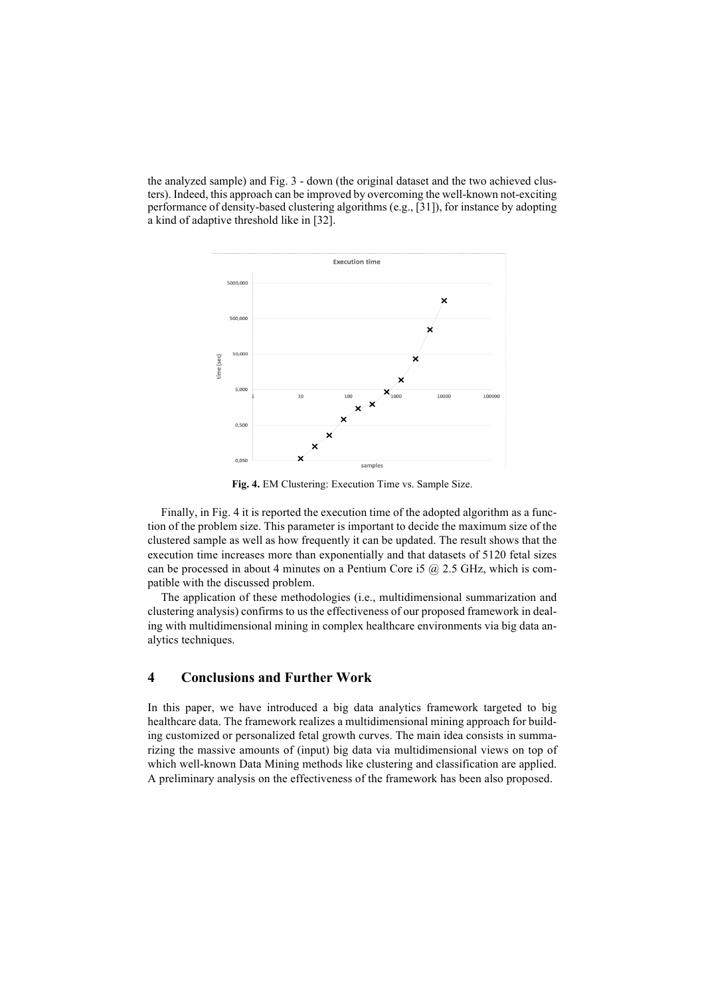the analyzed sample) and Fig. 3 - down (the original dataset and the two achieved clusters). Indeed, this approach can be improved by overcoming the well-known not-exciting performance of density-based clustering algorithms (e.g., [31]), for instance by adopting a kind of adaptive threshold like in [32].



**Fig. 4.** EM Clustering: Execution Time vs. Sample Size.

Finally, in Fig. 4 it is reported the execution time of the adopted algorithm as a function of the problem size. This parameter is important to decide the maximum size of the clustered sample as well as how frequently it can be updated. The result shows that the execution time increases more than exponentially and that datasets of 5120 fetal sizes can be processed in about 4 minutes on a Pentium Core i5  $@$  2.5 GHz, which is compatible with the discussed problem.

The application of these methodologies (i.e., multidimensional summarization and clustering analysis) confirms to us the effectiveness of our proposed framework in dealing with multidimensional mining in complex healthcare environments via big data analytics techniques.

#### **4 Conclusions and Further Work**

In this paper, we have introduced a big data analytics framework targeted to big healthcare data. The framework realizes a multidimensional mining approach for building customized or personalized fetal growth curves. The main idea consists in summarizing the massive amounts of (input) big data via multidimensional views on top of which well-known Data Mining methods like clustering and classification are applied. A preliminary analysis on the effectiveness of the framework has been also proposed.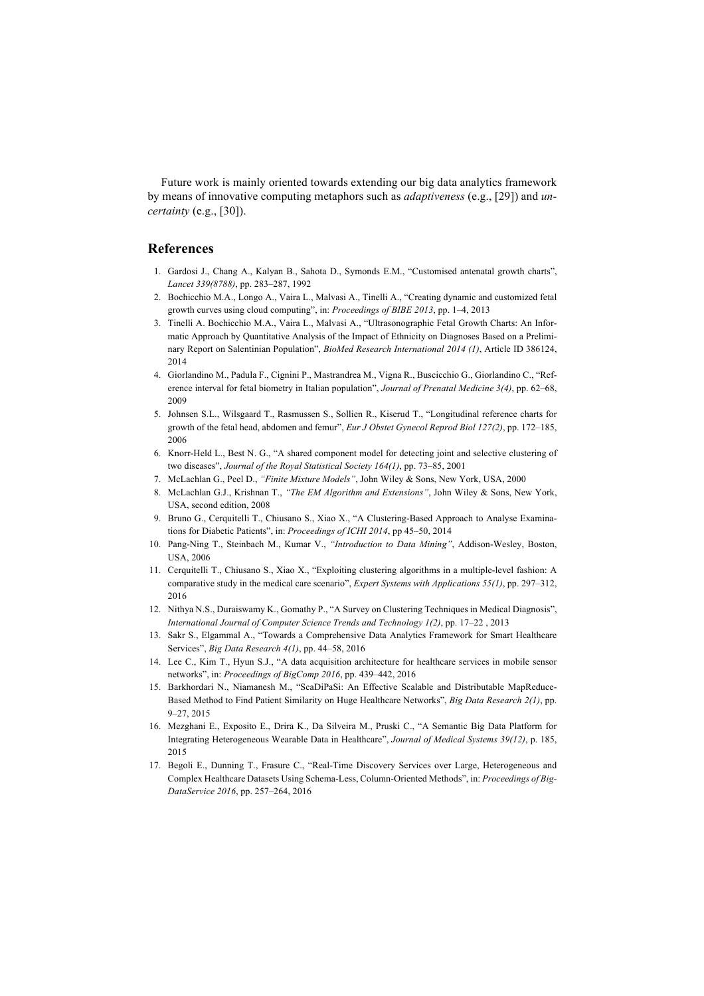Future work is mainly oriented towards extending our big data analytics framework by means of innovative computing metaphors such as *adaptiveness* (e.g., [29]) and *uncertainty* (e.g., [30]).

### **References**

- 1. Gardosi J., Chang A., Kalyan B., Sahota D., Symonds E.M., "Customised antenatal growth charts", *Lancet 339(8788)*, pp. 283–287, 1992
- 2. Bochicchio M.A., Longo A., Vaira L., Malvasi A., Tinelli A., "Creating dynamic and customized fetal growth curves using cloud computing", in: *Proceedings of BIBE 2013*, pp. 1–4, 2013
- 3. Tinelli A. Bochicchio M.A., Vaira L., Malvasi A., "Ultrasonographic Fetal Growth Charts: An Informatic Approach by Quantitative Analysis of the Impact of Ethnicity on Diagnoses Based on a Preliminary Report on Salentinian Population", *BioMed Research International 2014 (1)*, Article ID 386124, 2014
- 4. Giorlandino M., Padula F., Cignini P., Mastrandrea M., Vigna R., Buscicchio G., Giorlandino C., "Reference interval for fetal biometry in Italian population", *Journal of Prenatal Medicine 3(4)*, pp. 62–68, 2009
- 5. Johnsen S.L., Wilsgaard T., Rasmussen S., Sollien R., Kiserud T., "Longitudinal reference charts for growth of the fetal head, abdomen and femur", *Eur J Obstet Gynecol Reprod Biol 127(2)*, pp. 172–185, 2006
- 6. Knorr-Held L., Best N. G., "A shared component model for detecting joint and selective clustering of two diseases", *Journal of the Royal Statistical Society 164(1)*, pp. 73–85, 2001
- 7. McLachlan G., Peel D., *"Finite Mixture Models"*, John Wiley & Sons, New York, USA, 2000
- 8. McLachlan G.J., Krishnan T., *"The EM Algorithm and Extensions"*, John Wiley & Sons, New York, USA, second edition, 2008
- 9. Bruno G., Cerquitelli T., Chiusano S., Xiao X., "A Clustering-Based Approach to Analyse Examinations for Diabetic Patients", in: *Proceedings of ICHI 2014*, pp 45–50, 2014
- 10. Pang-Ning T., Steinbach M., Kumar V., *"Introduction to Data Mining"*, Addison-Wesley, Boston, USA, 2006
- 11. Cerquitelli T., Chiusano S., Xiao X., "Exploiting clustering algorithms in a multiple-level fashion: A comparative study in the medical care scenario", *Expert Systems with Applications 55(1)*, pp. 297–312, 2016
- 12. Nithya N.S., Duraiswamy K., Gomathy P., "A Survey on Clustering Techniques in Medical Diagnosis", *International Journal of Computer Science Trends and Technology 1(2)*, pp. 17–22 , 2013
- 13. Sakr S., Elgammal A., "Towards a Comprehensive Data Analytics Framework for Smart Healthcare Services", *Big Data Research 4(1)*, pp. 44–58, 2016
- 14. Lee C., Kim T., Hyun S.J., "A data acquisition architecture for healthcare services in mobile sensor networks", in: *Proceedings of BigComp 2016*, pp. 439–442, 2016
- 15. Barkhordari N., Niamanesh M., "ScaDiPaSi: An Effective Scalable and Distributable MapReduce-Based Method to Find Patient Similarity on Huge Healthcare Networks", *Big Data Research 2(1)*, pp. 9–27, 2015
- 16. Mezghani E., Exposito E., Drira K., Da Silveira M., Pruski C., "A Semantic Big Data Platform for Integrating Heterogeneous Wearable Data in Healthcare", *Journal of Medical Systems 39(12)*, p. 185, 2015
- 17. Begoli E., Dunning T., Frasure C., "Real-Time Discovery Services over Large, Heterogeneous and Complex Healthcare Datasets Using Schema-Less, Column-Oriented Methods", in: *Proceedings of Big-DataService 2016*, pp. 257–264, 2016